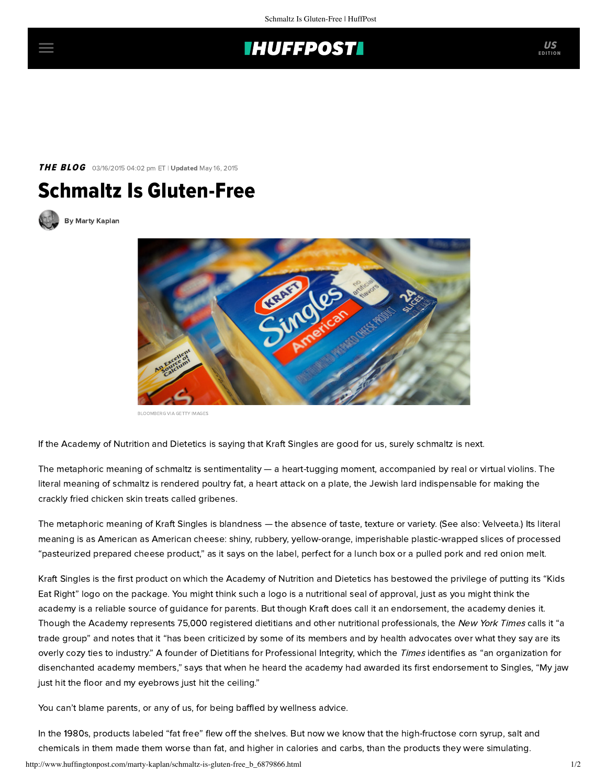## **THUFFPOST**

## **THE BLOG** 03/16/2015 04:02 pm ET | Updated May 16, 2015

Schmaltz Is Gluten-Free



[By Marty Kaplan](http://www.huffingtonpost.com/author/marty-kaplan)



BLOOMBERG VIA GETTY IMAGES

If the Academy of Nutrition and Dietetics is saying that [Kraft Singles are good for us](http://well.blogs.nytimes.com/2015/03/12/a-cheese-product-wins-kids-nutrition-seal/?_r=0), surely schmaltz is next.

The metaphoric meaning of schmaltz is sentimentality — a heart-tugging moment, accompanied by real or virtual violins. The literal meaning of schmaltz is [rendered poultry fat](http://www.nytimes.com/2014/12/10/dining/schmaltz-finds-a-new-younger-audience.html), a heart attack on a plate, the Jewish lard indispensable for making the crackly fried chicken skin treats called gribenes.

The metaphoric meaning of Kraft Singles is blandness — the absence of taste, texture or variety. (See also: Velveeta.) Its literal meaning is as American as American cheese: shiny, rubbery, yellow-orange, imperishable plastic-wrapped slices of processed "pasteurized prepared cheese product," as it says on the label, perfect for a lunch box or a [pulled pork and red onion melt](http://www.kraftrecipes.com/kraftcheese/recipes/pulled-pork-red-onion.aspx).

Kraft Singles is the first product on which the Academy of Nutrition and Dietetics has bestowed the privilege of putting its "Kids Eat Right" logo on the package. You might think such a logo is a nutritional seal of approval, just as you might think the academy is a reliable source of guidance for parents. But though Kraft does call it an endorsement, the academy denies it. Though the Academy represents 75,000 registered dietitians and other nutritional professionals, the New York Times calls it "a trade group" and notes that it "has been criticized by some of its members and by health advocates over what they say are its overly cozy ties to industry." A founder of Dietitians for Professional Integrity, which the Times identifies as "an organization for disenchanted academy members," says that when he heard the academy had awarded its first endorsement to Singles, "My jaw just hit the floor and my eyebrows just hit the ceiling."

You can't blame parents, or any of us, for being baffled by [wellness](http://www.wellnesswarrior.org/) advice.

In the 1980s, products labeled "fat free" flew off the shelves. But now we know that the high-fructose corn syrup, salt and chemicals in them made them worse than fat, and higher in calories and carbs, than the products they were simulating.